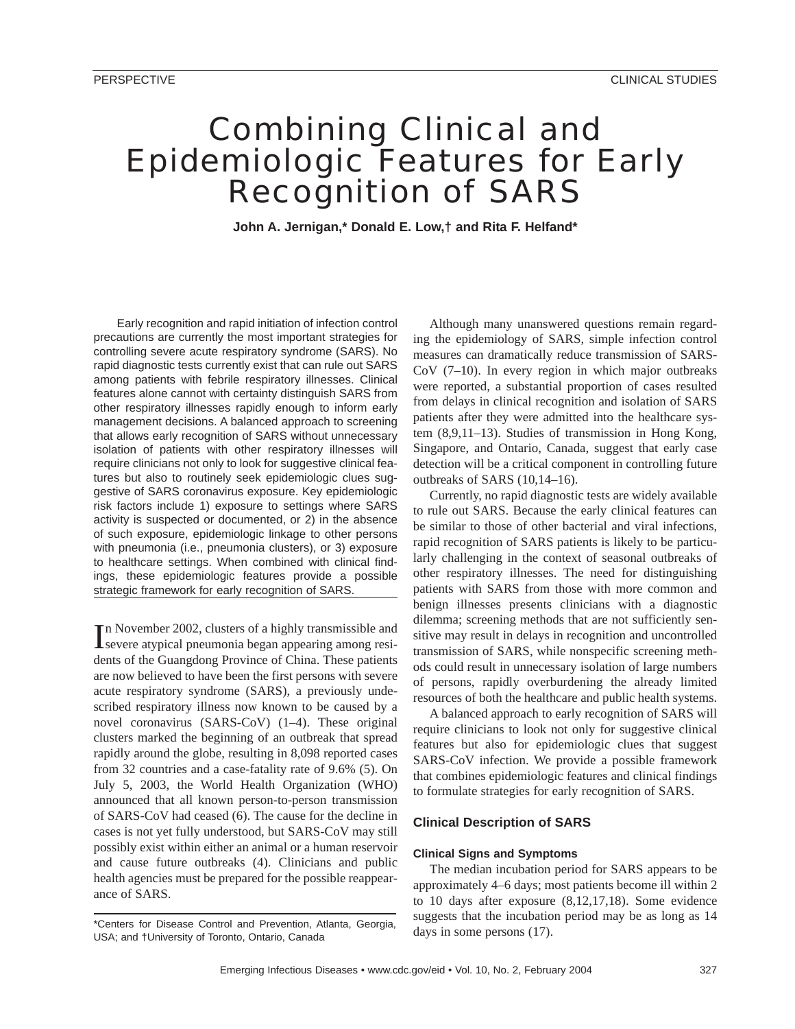# Combining Clinical and Epidemiologic Features for Early Recognition of SARS

**John A. Jernigan,\* Donald E. Low,† and Rita F. Helfand\***

Early recognition and rapid initiation of infection control precautions are currently the most important strategies for controlling severe acute respiratory syndrome (SARS). No rapid diagnostic tests currently exist that can rule out SARS among patients with febrile respiratory illnesses. Clinical features alone cannot with certainty distinguish SARS from other respiratory illnesses rapidly enough to inform early management decisions. A balanced approach to screening that allows early recognition of SARS without unnecessary isolation of patients with other respiratory illnesses will require clinicians not only to look for suggestive clinical features but also to routinely seek epidemiologic clues suggestive of SARS coronavirus exposure. Key epidemiologic risk factors include 1) exposure to settings where SARS activity is suspected or documented, or 2) in the absence of such exposure, epidemiologic linkage to other persons with pneumonia (i.e., pneumonia clusters), or 3) exposure to healthcare settings. When combined with clinical findings, these epidemiologic features provide a possible strategic framework for early recognition of SARS.

In November 2002, clusters of a highly transmissible and<br>severe atypical pneumonia began appearing among resin November 2002, clusters of a highly transmissible and dents of the Guangdong Province of China. These patients are now believed to have been the first persons with severe acute respiratory syndrome (SARS), a previously undescribed respiratory illness now known to be caused by a novel coronavirus (SARS-CoV) (1–4). These original clusters marked the beginning of an outbreak that spread rapidly around the globe, resulting in 8,098 reported cases from 32 countries and a case-fatality rate of 9.6% (5). On July 5, 2003, the World Health Organization (WHO) announced that all known person-to-person transmission of SARS-CoV had ceased (6). The cause for the decline in cases is not yet fully understood, but SARS-CoV may still possibly exist within either an animal or a human reservoir and cause future outbreaks (4). Clinicians and public health agencies must be prepared for the possible reappearance of SARS.

Although many unanswered questions remain regarding the epidemiology of SARS, simple infection control measures can dramatically reduce transmission of SARS-CoV (7–10). In every region in which major outbreaks were reported, a substantial proportion of cases resulted from delays in clinical recognition and isolation of SARS patients after they were admitted into the healthcare system (8,9,11–13). Studies of transmission in Hong Kong, Singapore, and Ontario, Canada, suggest that early case detection will be a critical component in controlling future outbreaks of SARS (10,14–16).

Currently, no rapid diagnostic tests are widely available to rule out SARS. Because the early clinical features can be similar to those of other bacterial and viral infections, rapid recognition of SARS patients is likely to be particularly challenging in the context of seasonal outbreaks of other respiratory illnesses. The need for distinguishing patients with SARS from those with more common and benign illnesses presents clinicians with a diagnostic dilemma; screening methods that are not sufficiently sensitive may result in delays in recognition and uncontrolled transmission of SARS, while nonspecific screening methods could result in unnecessary isolation of large numbers of persons, rapidly overburdening the already limited resources of both the healthcare and public health systems.

A balanced approach to early recognition of SARS will require clinicians to look not only for suggestive clinical features but also for epidemiologic clues that suggest SARS-CoV infection. We provide a possible framework that combines epidemiologic features and clinical findings to formulate strategies for early recognition of SARS.

# **Clinical Description of SARS**

#### **Clinical Signs and Symptoms**

The median incubation period for SARS appears to be approximately 4–6 days; most patients become ill within 2 to 10 days after exposure (8,12,17,18). Some evidence suggests that the incubation period may be as long as 14 days in some persons (17).

<sup>\*</sup>Centers for Disease Control and Prevention, Atlanta, Georgia, USA; and †University of Toronto, Ontario, Canada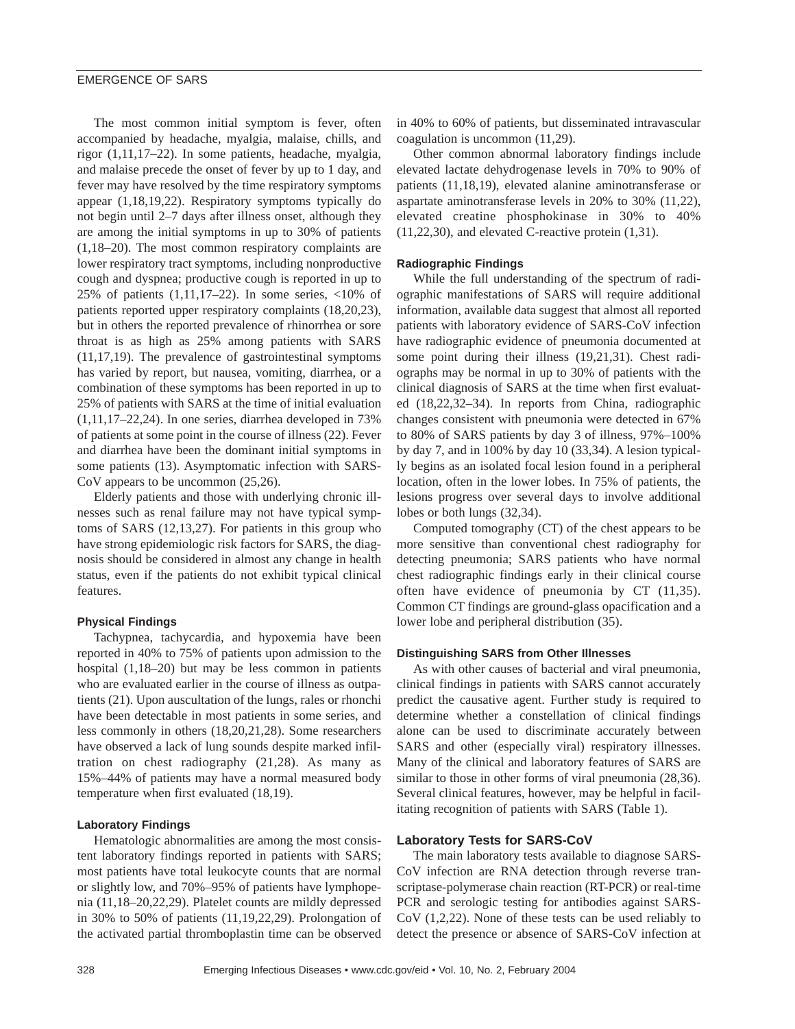The most common initial symptom is fever, often accompanied by headache, myalgia, malaise, chills, and rigor (1,11,17–22). In some patients, headache, myalgia, and malaise precede the onset of fever by up to 1 day, and fever may have resolved by the time respiratory symptoms appear (1,18,19,22). Respiratory symptoms typically do not begin until 2–7 days after illness onset, although they are among the initial symptoms in up to 30% of patients (1,18–20). The most common respiratory complaints are lower respiratory tract symptoms, including nonproductive cough and dyspnea; productive cough is reported in up to 25% of patients  $(1,11,17-22)$ . In some series, <10% of patients reported upper respiratory complaints (18,20,23), but in others the reported prevalence of rhinorrhea or sore throat is as high as 25% among patients with SARS (11,17,19). The prevalence of gastrointestinal symptoms has varied by report, but nausea, vomiting, diarrhea, or a combination of these symptoms has been reported in up to 25% of patients with SARS at the time of initial evaluation  $(1,11,17–22,24)$ . In one series, diarrhea developed in 73% of patients at some point in the course of illness (22). Fever and diarrhea have been the dominant initial symptoms in some patients (13). Asymptomatic infection with SARS-CoV appears to be uncommon (25,26).

Elderly patients and those with underlying chronic illnesses such as renal failure may not have typical symptoms of SARS (12,13,27). For patients in this group who have strong epidemiologic risk factors for SARS, the diagnosis should be considered in almost any change in health status, even if the patients do not exhibit typical clinical features.

## **Physical Findings**

Tachypnea, tachycardia, and hypoxemia have been reported in 40% to 75% of patients upon admission to the hospital (1,18–20) but may be less common in patients who are evaluated earlier in the course of illness as outpatients (21). Upon auscultation of the lungs, rales or rhonchi have been detectable in most patients in some series, and less commonly in others (18,20,21,28). Some researchers have observed a lack of lung sounds despite marked infiltration on chest radiography (21,28). As many as 15%–44% of patients may have a normal measured body temperature when first evaluated (18,19).

#### **Laboratory Findings**

Hematologic abnormalities are among the most consistent laboratory findings reported in patients with SARS; most patients have total leukocyte counts that are normal or slightly low, and 70%–95% of patients have lymphopenia (11,18–20,22,29). Platelet counts are mildly depressed in 30% to 50% of patients (11,19,22,29). Prolongation of the activated partial thromboplastin time can be observed

in 40% to 60% of patients, but disseminated intravascular coagulation is uncommon (11,29).

Other common abnormal laboratory findings include elevated lactate dehydrogenase levels in 70% to 90% of patients (11,18,19), elevated alanine aminotransferase or aspartate aminotransferase levels in 20% to 30% (11,22), elevated creatine phosphokinase in 30% to 40% (11,22,30), and elevated C-reactive protein (1,31).

#### **Radiographic Findings**

While the full understanding of the spectrum of radiographic manifestations of SARS will require additional information, available data suggest that almost all reported patients with laboratory evidence of SARS-CoV infection have radiographic evidence of pneumonia documented at some point during their illness (19,21,31). Chest radiographs may be normal in up to 30% of patients with the clinical diagnosis of SARS at the time when first evaluated (18,22,32–34). In reports from China, radiographic changes consistent with pneumonia were detected in 67% to 80% of SARS patients by day 3 of illness, 97%–100% by day 7, and in 100% by day 10 (33,34). A lesion typically begins as an isolated focal lesion found in a peripheral location, often in the lower lobes. In 75% of patients, the lesions progress over several days to involve additional lobes or both lungs (32,34).

Computed tomography (CT) of the chest appears to be more sensitive than conventional chest radiography for detecting pneumonia; SARS patients who have normal chest radiographic findings early in their clinical course often have evidence of pneumonia by CT (11,35). Common CT findings are ground-glass opacification and a lower lobe and peripheral distribution (35).

#### **Distinguishing SARS from Other Illnesses**

As with other causes of bacterial and viral pneumonia, clinical findings in patients with SARS cannot accurately predict the causative agent. Further study is required to determine whether a constellation of clinical findings alone can be used to discriminate accurately between SARS and other (especially viral) respiratory illnesses. Many of the clinical and laboratory features of SARS are similar to those in other forms of viral pneumonia  $(28,36)$ . Several clinical features, however, may be helpful in facilitating recognition of patients with SARS (Table 1).

#### **Laboratory Tests for SARS-CoV**

The main laboratory tests available to diagnose SARS-CoV infection are RNA detection through reverse transcriptase-polymerase chain reaction (RT-PCR) or real-time PCR and serologic testing for antibodies against SARS-CoV (1,2,22). None of these tests can be used reliably to detect the presence or absence of SARS-CoV infection at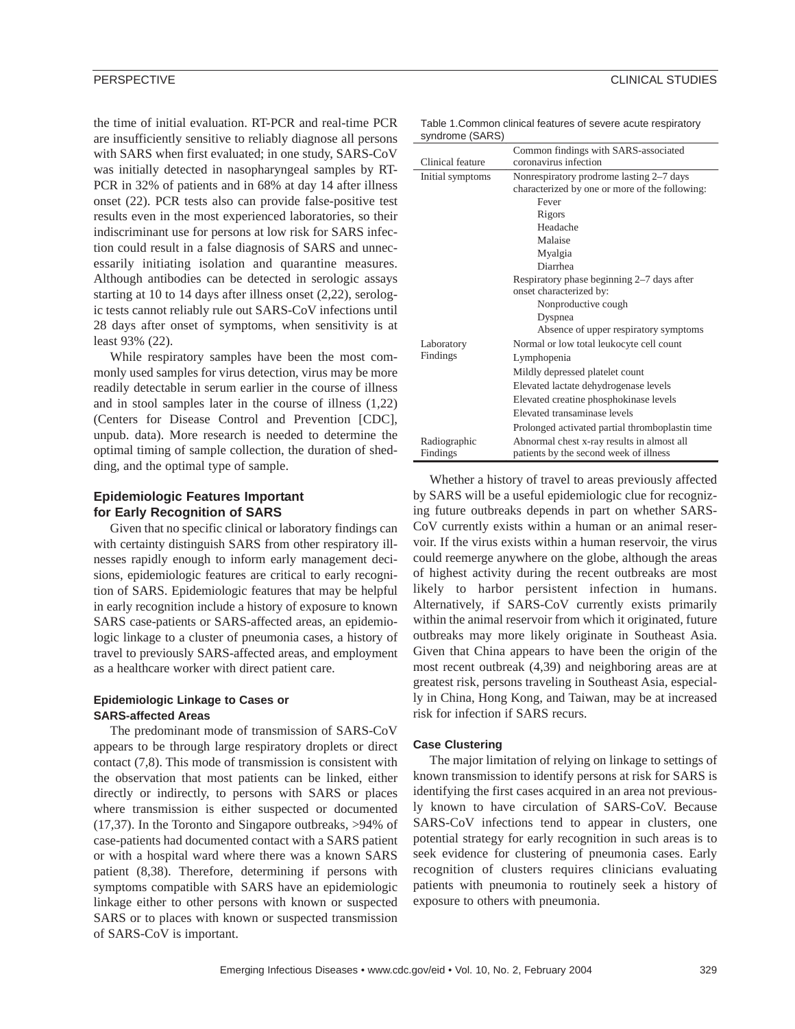the time of initial evaluation. RT-PCR and real-time PCR are insufficiently sensitive to reliably diagnose all persons with SARS when first evaluated; in one study, SARS-CoV was initially detected in nasopharyngeal samples by RT-PCR in 32% of patients and in 68% at day 14 after illness onset (22). PCR tests also can provide false-positive test results even in the most experienced laboratories, so their indiscriminant use for persons at low risk for SARS infection could result in a false diagnosis of SARS and unnecessarily initiating isolation and quarantine measures. Although antibodies can be detected in serologic assays starting at 10 to 14 days after illness onset (2,22), serologic tests cannot reliably rule out SARS-CoV infections until 28 days after onset of symptoms, when sensitivity is at least 93% (22).

While respiratory samples have been the most commonly used samples for virus detection, virus may be more readily detectable in serum earlier in the course of illness and in stool samples later in the course of illness (1,22) (Centers for Disease Control and Prevention [CDC], unpub. data). More research is needed to determine the optimal timing of sample collection, the duration of shedding, and the optimal type of sample.

# **Epidemiologic Features Important for Early Recognition of SARS**

Given that no specific clinical or laboratory findings can with certainty distinguish SARS from other respiratory illnesses rapidly enough to inform early management decisions, epidemiologic features are critical to early recognition of SARS. Epidemiologic features that may be helpful in early recognition include a history of exposure to known SARS case-patients or SARS-affected areas, an epidemiologic linkage to a cluster of pneumonia cases, a history of travel to previously SARS-affected areas, and employment as a healthcare worker with direct patient care.

# **Epidemiologic Linkage to Cases or SARS-affected Areas**

The predominant mode of transmission of SARS-CoV appears to be through large respiratory droplets or direct contact (7,8). This mode of transmission is consistent with the observation that most patients can be linked, either directly or indirectly, to persons with SARS or places where transmission is either suspected or documented (17,37). In the Toronto and Singapore outbreaks, >94% of case-patients had documented contact with a SARS patient or with a hospital ward where there was a known SARS patient (8,38). Therefore, determining if persons with symptoms compatible with SARS have an epidemiologic linkage either to other persons with known or suspected SARS or to places with known or suspected transmission of SARS-CoV is important.

Table 1.Common clinical features of severe acute respiratory syndrome (SARS)

| Clinical feature       | Common findings with SARS-associated<br>coronavirus infection                              |  |
|------------------------|--------------------------------------------------------------------------------------------|--|
| Initial symptoms       | Nonrespiratory prodrome lasting 2-7 days<br>characterized by one or more of the following: |  |
|                        | Fever                                                                                      |  |
|                        | Rigors                                                                                     |  |
|                        | Headache                                                                                   |  |
|                        | Malaise                                                                                    |  |
|                        | Myalgia                                                                                    |  |
|                        | Diarrhea                                                                                   |  |
|                        | Respiratory phase beginning 2-7 days after                                                 |  |
|                        | onset characterized by:                                                                    |  |
|                        | Nonproductive cough                                                                        |  |
|                        | Dyspnea                                                                                    |  |
|                        | Absence of upper respiratory symptoms                                                      |  |
| Laboratory<br>Findings | Normal or low total leukocyte cell count                                                   |  |
|                        | Lymphopenia                                                                                |  |
|                        | Mildly depressed platelet count                                                            |  |
|                        | Elevated lactate dehydrogenase levels                                                      |  |
|                        | Elevated creatine phosphokinase levels                                                     |  |
|                        | Elevated transaminase levels                                                               |  |
|                        | Prolonged activated partial thromboplastin time                                            |  |
| Radiographic           | Abnormal chest x-ray results in almost all                                                 |  |
| Findings               | patients by the second week of illness                                                     |  |

Whether a history of travel to areas previously affected by SARS will be a useful epidemiologic clue for recognizing future outbreaks depends in part on whether SARS-CoV currently exists within a human or an animal reservoir. If the virus exists within a human reservoir, the virus could reemerge anywhere on the globe, although the areas of highest activity during the recent outbreaks are most likely to harbor persistent infection in humans. Alternatively, if SARS-CoV currently exists primarily within the animal reservoir from which it originated, future outbreaks may more likely originate in Southeast Asia. Given that China appears to have been the origin of the most recent outbreak (4,39) and neighboring areas are at greatest risk, persons traveling in Southeast Asia, especially in China, Hong Kong, and Taiwan, may be at increased risk for infection if SARS recurs.

# **Case Clustering**

The major limitation of relying on linkage to settings of known transmission to identify persons at risk for SARS is identifying the first cases acquired in an area not previously known to have circulation of SARS-CoV. Because SARS-CoV infections tend to appear in clusters, one potential strategy for early recognition in such areas is to seek evidence for clustering of pneumonia cases. Early recognition of clusters requires clinicians evaluating patients with pneumonia to routinely seek a history of exposure to others with pneumonia.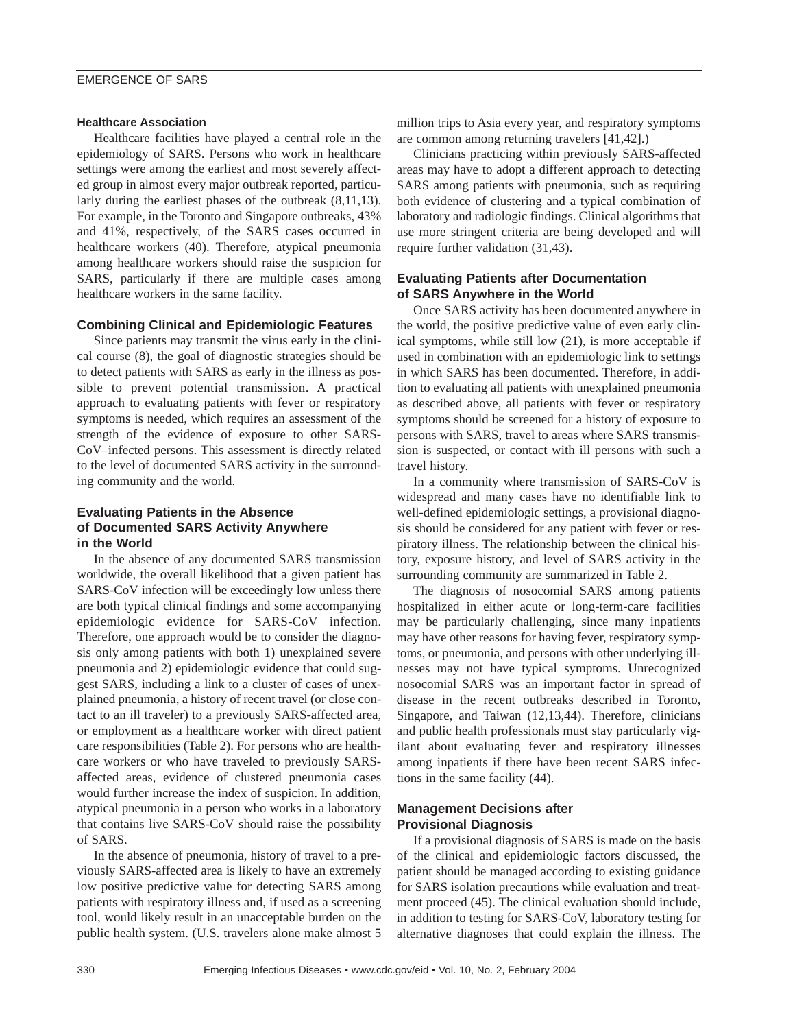# **Healthcare Association**

Healthcare facilities have played a central role in the epidemiology of SARS. Persons who work in healthcare settings were among the earliest and most severely affected group in almost every major outbreak reported, particularly during the earliest phases of the outbreak (8,11,13). For example, in the Toronto and Singapore outbreaks, 43% and 41%, respectively, of the SARS cases occurred in healthcare workers (40). Therefore, atypical pneumonia among healthcare workers should raise the suspicion for SARS, particularly if there are multiple cases among healthcare workers in the same facility.

# **Combining Clinical and Epidemiologic Features**

Since patients may transmit the virus early in the clinical course (8), the goal of diagnostic strategies should be to detect patients with SARS as early in the illness as possible to prevent potential transmission. A practical approach to evaluating patients with fever or respiratory symptoms is needed, which requires an assessment of the strength of the evidence of exposure to other SARS-CoV–infected persons. This assessment is directly related to the level of documented SARS activity in the surrounding community and the world.

# **Evaluating Patients in the Absence of Documented SARS Activity Anywhere in the World**

In the absence of any documented SARS transmission worldwide, the overall likelihood that a given patient has SARS-CoV infection will be exceedingly low unless there are both typical clinical findings and some accompanying epidemiologic evidence for SARS-CoV infection. Therefore, one approach would be to consider the diagnosis only among patients with both 1) unexplained severe pneumonia and 2) epidemiologic evidence that could suggest SARS, including a link to a cluster of cases of unexplained pneumonia, a history of recent travel (or close contact to an ill traveler) to a previously SARS-affected area, or employment as a healthcare worker with direct patient care responsibilities (Table 2). For persons who are healthcare workers or who have traveled to previously SARSaffected areas, evidence of clustered pneumonia cases would further increase the index of suspicion. In addition, atypical pneumonia in a person who works in a laboratory that contains live SARS-CoV should raise the possibility of SARS.

In the absence of pneumonia, history of travel to a previously SARS-affected area is likely to have an extremely low positive predictive value for detecting SARS among patients with respiratory illness and, if used as a screening tool, would likely result in an unacceptable burden on the public health system. (U.S. travelers alone make almost 5

million trips to Asia every year, and respiratory symptoms are common among returning travelers [41,42].)

Clinicians practicing within previously SARS-affected areas may have to adopt a different approach to detecting SARS among patients with pneumonia, such as requiring both evidence of clustering and a typical combination of laboratory and radiologic findings. Clinical algorithms that use more stringent criteria are being developed and will require further validation (31,43).

# **Evaluating Patients after Documentation of SARS Anywhere in the World**

Once SARS activity has been documented anywhere in the world, the positive predictive value of even early clinical symptoms, while still low (21), is more acceptable if used in combination with an epidemiologic link to settings in which SARS has been documented. Therefore, in addition to evaluating all patients with unexplained pneumonia as described above, all patients with fever or respiratory symptoms should be screened for a history of exposure to persons with SARS, travel to areas where SARS transmission is suspected, or contact with ill persons with such a travel history.

In a community where transmission of SARS-CoV is widespread and many cases have no identifiable link to well-defined epidemiologic settings, a provisional diagnosis should be considered for any patient with fever or respiratory illness. The relationship between the clinical history, exposure history, and level of SARS activity in the surrounding community are summarized in Table 2.

The diagnosis of nosocomial SARS among patients hospitalized in either acute or long-term-care facilities may be particularly challenging, since many inpatients may have other reasons for having fever, respiratory symptoms, or pneumonia, and persons with other underlying illnesses may not have typical symptoms. Unrecognized nosocomial SARS was an important factor in spread of disease in the recent outbreaks described in Toronto, Singapore, and Taiwan (12,13,44). Therefore, clinicians and public health professionals must stay particularly vigilant about evaluating fever and respiratory illnesses among inpatients if there have been recent SARS infections in the same facility (44).

# **Management Decisions after Provisional Diagnosis**

If a provisional diagnosis of SARS is made on the basis of the clinical and epidemiologic factors discussed, the patient should be managed according to existing guidance for SARS isolation precautions while evaluation and treatment proceed (45). The clinical evaluation should include, in addition to testing for SARS-CoV, laboratory testing for alternative diagnoses that could explain the illness. The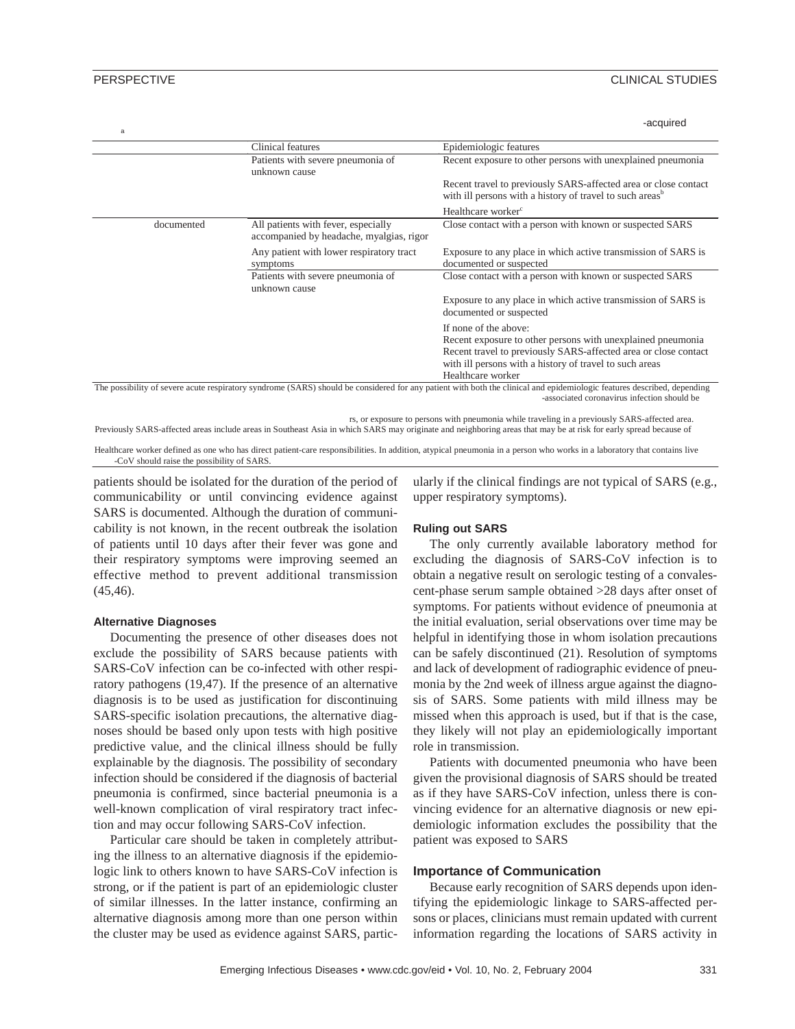| -acquired |
|-----------|
|           |

|            | <b>Clinical features</b>                                                        | Epidemiologic features                                                                                                                  |
|------------|---------------------------------------------------------------------------------|-----------------------------------------------------------------------------------------------------------------------------------------|
|            | Patients with severe pneumonia of<br>unknown cause                              | Recent exposure to other persons with unexplained pneumonia                                                                             |
|            |                                                                                 | Recent travel to previously SARS-affected area or close contact<br>with ill persons with a history of travel to such areas <sup>b</sup> |
|            |                                                                                 | Healthcare worker <sup>c</sup>                                                                                                          |
| documented | All patients with fever, especially<br>accompanied by headache, myalgias, rigor | Close contact with a person with known or suspected SARS                                                                                |
|            | Any patient with lower respiratory tract<br>symptoms                            | Exposure to any place in which active transmission of SARS is<br>documented or suspected                                                |
|            | Patients with severe pneumonia of<br>unknown cause                              | Close contact with a person with known or suspected SARS                                                                                |
|            |                                                                                 | Exposure to any place in which active transmission of SARS is<br>documented or suspected                                                |
|            |                                                                                 | If none of the above:                                                                                                                   |
|            |                                                                                 | Recent exposure to other persons with unexplained pneumonia<br>Recent travel to previously SARS-affected area or close contact          |
|            |                                                                                 | with ill persons with a history of travel to such areas<br>Healthcare worker                                                            |

-associated coronavirus infection should be

rs, or exposure to persons with pneumonia while traveling in a previously SARS-affected area.

Previously SARS-affected areas include areas in Southeast Asia in which SARS may originate and neighboring areas that may be at risk for early spread because of

Healthcare worker defined as one who has direct patient-care responsibilities. In addition, atypical pneumonia in a person who works in a laboratory that contains live -CoV should raise the possibility of SARS.

patients should be isolated for the duration of the period of communicability or until convincing evidence against SARS is documented. Although the duration of communicability is not known, in the recent outbreak the isolation of patients until 10 days after their fever was gone and their respiratory symptoms were improving seemed an effective method to prevent additional transmission (45,46).

## **Alternative Diagnoses**

Documenting the presence of other diseases does not exclude the possibility of SARS because patients with SARS-CoV infection can be co-infected with other respiratory pathogens (19,47). If the presence of an alternative diagnosis is to be used as justification for discontinuing SARS-specific isolation precautions, the alternative diagnoses should be based only upon tests with high positive predictive value, and the clinical illness should be fully explainable by the diagnosis. The possibility of secondary infection should be considered if the diagnosis of bacterial pneumonia is confirmed, since bacterial pneumonia is a well-known complication of viral respiratory tract infection and may occur following SARS-CoV infection.

Particular care should be taken in completely attributing the illness to an alternative diagnosis if the epidemiologic link to others known to have SARS-CoV infection is strong, or if the patient is part of an epidemiologic cluster of similar illnesses. In the latter instance, confirming an alternative diagnosis among more than one person within the cluster may be used as evidence against SARS, particularly if the clinical findings are not typical of SARS (e.g., upper respiratory symptoms).

## **Ruling out SARS**

The only currently available laboratory method for excluding the diagnosis of SARS-CoV infection is to obtain a negative result on serologic testing of a convalescent-phase serum sample obtained >28 days after onset of symptoms. For patients without evidence of pneumonia at the initial evaluation, serial observations over time may be helpful in identifying those in whom isolation precautions can be safely discontinued (21). Resolution of symptoms and lack of development of radiographic evidence of pneumonia by the 2nd week of illness argue against the diagnosis of SARS. Some patients with mild illness may be missed when this approach is used, but if that is the case, they likely will not play an epidemiologically important role in transmission.

Patients with documented pneumonia who have been given the provisional diagnosis of SARS should be treated as if they have SARS-CoV infection, unless there is convincing evidence for an alternative diagnosis or new epidemiologic information excludes the possibility that the patient was exposed to SARS

# **Importance of Communication**

Because early recognition of SARS depends upon identifying the epidemiologic linkage to SARS-affected persons or places, clinicians must remain updated with current information regarding the locations of SARS activity in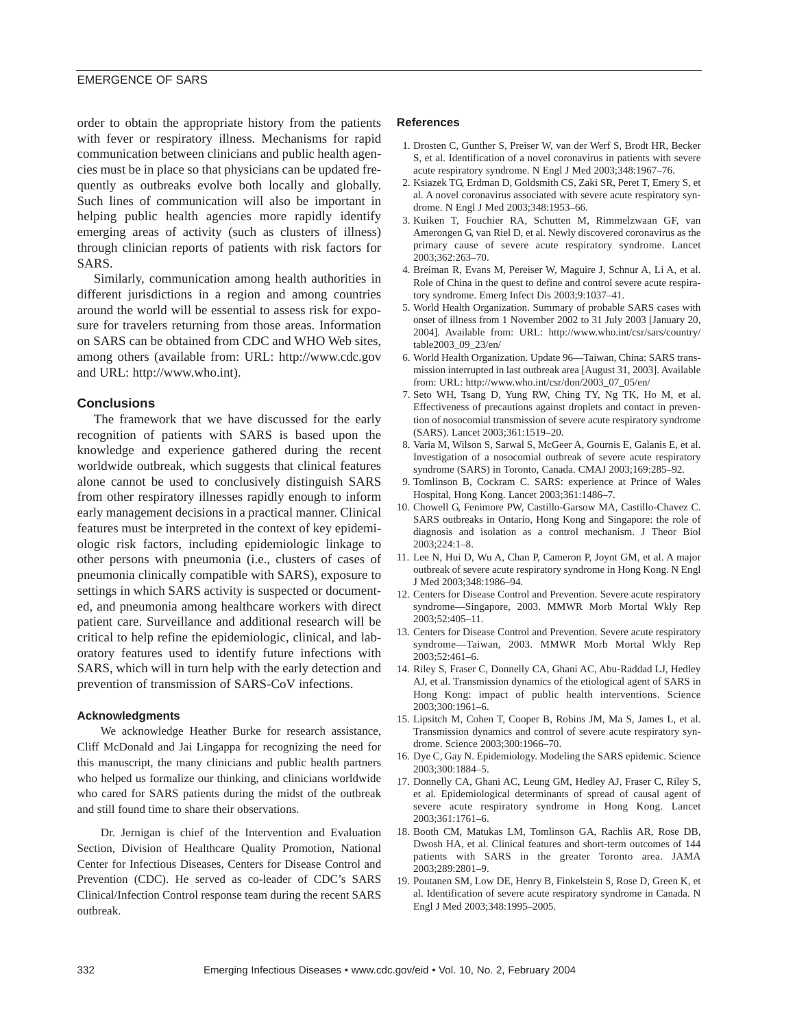order to obtain the appropriate history from the patients with fever or respiratory illness. Mechanisms for rapid communication between clinicians and public health agencies must be in place so that physicians can be updated frequently as outbreaks evolve both locally and globally. Such lines of communication will also be important in helping public health agencies more rapidly identify emerging areas of activity (such as clusters of illness) through clinician reports of patients with risk factors for SARS.

Similarly, communication among health authorities in different jurisdictions in a region and among countries around the world will be essential to assess risk for exposure for travelers returning from those areas. Information on SARS can be obtained from CDC and WHO Web sites, among others (available from: URL: http://www.cdc.gov and URL: http://www.who.int).

#### **Conclusions**

The framework that we have discussed for the early recognition of patients with SARS is based upon the knowledge and experience gathered during the recent worldwide outbreak, which suggests that clinical features alone cannot be used to conclusively distinguish SARS from other respiratory illnesses rapidly enough to inform early management decisions in a practical manner. Clinical features must be interpreted in the context of key epidemiologic risk factors, including epidemiologic linkage to other persons with pneumonia (i.e., clusters of cases of pneumonia clinically compatible with SARS), exposure to settings in which SARS activity is suspected or documented, and pneumonia among healthcare workers with direct patient care. Surveillance and additional research will be critical to help refine the epidemiologic, clinical, and laboratory features used to identify future infections with SARS, which will in turn help with the early detection and prevention of transmission of SARS-CoV infections.

#### **Acknowledgments**

We acknowledge Heather Burke for research assistance, Cliff McDonald and Jai Lingappa for recognizing the need for this manuscript, the many clinicians and public health partners who helped us formalize our thinking, and clinicians worldwide who cared for SARS patients during the midst of the outbreak and still found time to share their observations.

Dr. Jernigan is chief of the Intervention and Evaluation Section, Division of Healthcare Quality Promotion, National Center for Infectious Diseases, Centers for Disease Control and Prevention (CDC). He served as co-leader of CDC's SARS Clinical/Infection Control response team during the recent SARS outbreak.

#### **References**

- 1. Drosten C, Gunther S, Preiser W, van der Werf S, Brodt HR, Becker S, et al. Identification of a novel coronavirus in patients with severe acute respiratory syndrome. N Engl J Med 2003;348:1967–76.
- 2. Ksiazek TG, Erdman D, Goldsmith CS, Zaki SR, Peret T, Emery S, et al. A novel coronavirus associated with severe acute respiratory syndrome. N Engl J Med 2003;348:1953–66.
- 3. Kuiken T, Fouchier RA, Schutten M, Rimmelzwaan GF, van Amerongen G, van Riel D, et al. Newly discovered coronavirus as the primary cause of severe acute respiratory syndrome. Lancet 2003;362:263–70.
- 4. Breiman R, Evans M, Pereiser W, Maguire J, Schnur A, Li A, et al. Role of China in the quest to define and control severe acute respiratory syndrome. Emerg Infect Dis 2003;9:1037–41.
- 5. World Health Organization. Summary of probable SARS cases with onset of illness from 1 November 2002 to 31 July 2003 [January 20, 2004]. Available from: URL: http://www.who.int/csr/sars/country/ table2003\_09\_23/en/
- 6. World Health Organization. Update 96—Taiwan, China: SARS transmission interrupted in last outbreak area [August 31, 2003]. Available from: URL: http://www.who.int/csr/don/2003\_07\_05/en/
- 7. Seto WH, Tsang D, Yung RW, Ching TY, Ng TK, Ho M, et al. Effectiveness of precautions against droplets and contact in prevention of nosocomial transmission of severe acute respiratory syndrome (SARS). Lancet 2003;361:1519–20.
- 8. Varia M, Wilson S, Sarwal S, McGeer A, Gournis E, Galanis E, et al. Investigation of a nosocomial outbreak of severe acute respiratory syndrome (SARS) in Toronto, Canada. CMAJ 2003;169:285–92.
- 9. Tomlinson B, Cockram C. SARS: experience at Prince of Wales Hospital, Hong Kong. Lancet 2003;361:1486–7.
- 10. Chowell G, Fenimore PW, Castillo-Garsow MA, Castillo-Chavez C. SARS outbreaks in Ontario, Hong Kong and Singapore: the role of diagnosis and isolation as a control mechanism. J Theor Biol 2003;224:1–8.
- 11. Lee N, Hui D, Wu A, Chan P, Cameron P, Joynt GM, et al. A major outbreak of severe acute respiratory syndrome in Hong Kong. N Engl J Med 2003;348:1986–94.
- 12. Centers for Disease Control and Prevention. Severe acute respiratory syndrome—Singapore, 2003. MMWR Morb Mortal Wkly Rep 2003;52:405–11.
- 13. Centers for Disease Control and Prevention. Severe acute respiratory syndrome—Taiwan, 2003. MMWR Morb Mortal Wkly Rep 2003;52:461–6.
- 14. Riley S, Fraser C, Donnelly CA, Ghani AC, Abu-Raddad LJ, Hedley AJ, et al. Transmission dynamics of the etiological agent of SARS in Hong Kong: impact of public health interventions. Science 2003;300:1961–6.
- 15. Lipsitch M, Cohen T, Cooper B, Robins JM, Ma S, James L, et al. Transmission dynamics and control of severe acute respiratory syndrome. Science 2003;300:1966–70.
- 16. Dye C, Gay N. Epidemiology. Modeling the SARS epidemic. Science 2003;300:1884–5.
- 17. Donnelly CA, Ghani AC, Leung GM, Hedley AJ, Fraser C, Riley S, et al. Epidemiological determinants of spread of causal agent of severe acute respiratory syndrome in Hong Kong. Lancet 2003;361:1761–6.
- 18. Booth CM, Matukas LM, Tomlinson GA, Rachlis AR, Rose DB, Dwosh HA, et al. Clinical features and short-term outcomes of 144 patients with SARS in the greater Toronto area. JAMA 2003;289:2801–9.
- 19. Poutanen SM, Low DE, Henry B, Finkelstein S, Rose D, Green K, et al. Identification of severe acute respiratory syndrome in Canada. N Engl J Med 2003;348:1995–2005.